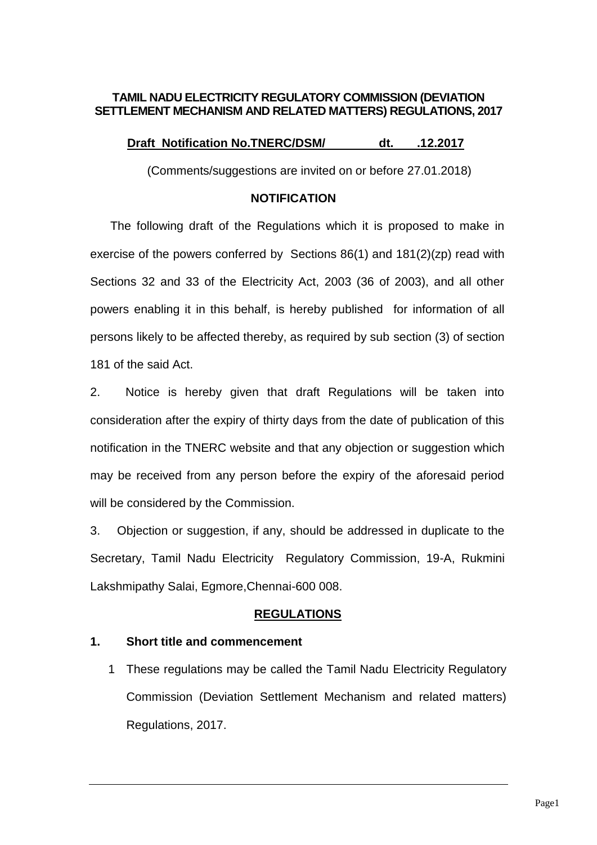## **TAMIL NADU ELECTRICITY REGULATORY COMMISSION (DEVIATION SETTLEMENT MECHANISM AND RELATED MATTERS) REGULATIONS, 2017**

## **Draft Notification No.TNERC/DSM/ dt. .12.2017**

(Comments/suggestions are invited on or before 27.01.2018)

#### **NOTIFICATION**

 The following draft of the Regulations which it is proposed to make in exercise of the powers conferred by Sections 86(1) and 181(2)(zp) read with Sections 32 and 33 of the Electricity Act, 2003 (36 of 2003), and all other powers enabling it in this behalf, is hereby published for information of all persons likely to be affected thereby, as required by sub section (3) of section 181 of the said Act.

2. Notice is hereby given that draft Regulations will be taken into consideration after the expiry of thirty days from the date of publication of this notification in the TNERC website and that any objection or suggestion which may be received from any person before the expiry of the aforesaid period will be considered by the Commission.

3. Objection or suggestion, if any, should be addressed in duplicate to the Secretary, Tamil Nadu Electricity Regulatory Commission, 19-A, Rukmini Lakshmipathy Salai, Egmore,Chennai-600 008.

### **REGULATIONS**

### **1. Short title and commencement**

1 These regulations may be called the Tamil Nadu Electricity Regulatory Commission (Deviation Settlement Mechanism and related matters) Regulations, 2017.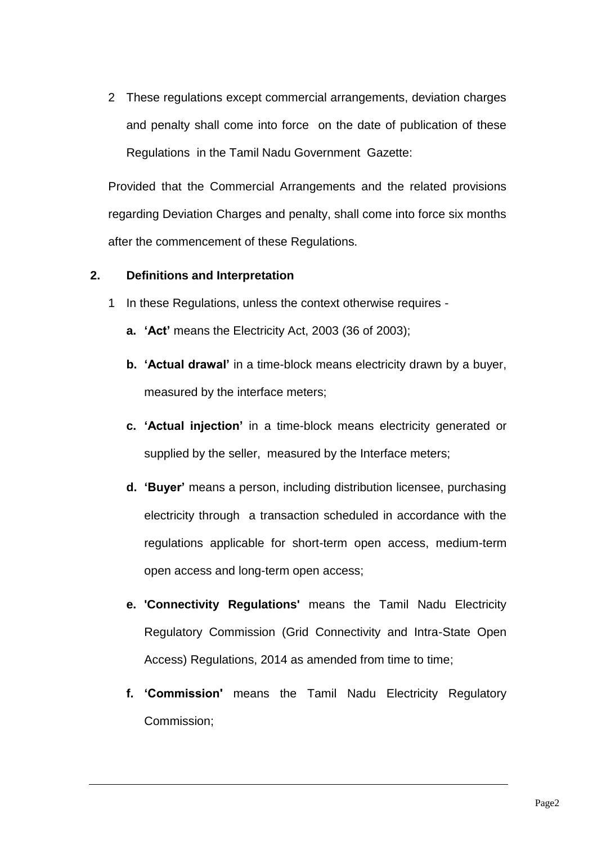2 These regulations except commercial arrangements, deviation charges and penalty shall come into force on the date of publication of these Regulations in the Tamil Nadu Government Gazette:

Provided that the Commercial Arrangements and the related provisions regarding Deviation Charges and penalty, shall come into force six months after the commencement of these Regulations.

## **2. Definitions and Interpretation**

- 1 In these Regulations, unless the context otherwise requires
	- **a. 'Act'** means the Electricity Act, 2003 (36 of 2003);
	- **b. 'Actual drawal'** in a time-block means electricity drawn by a buyer, measured by the interface meters;
	- **c. 'Actual injection'** in a time-block means electricity generated or supplied by the seller, measured by the Interface meters;
	- **d. 'Buyer'** means a person, including distribution licensee, purchasing electricity through a transaction scheduled in accordance with the regulations applicable for short-term open access, medium-term open access and long-term open access;
	- **e. 'Connectivity Regulations'** means the Tamil Nadu Electricity Regulatory Commission (Grid Connectivity and Intra-State Open Access) Regulations, 2014 as amended from time to time;
	- **f. 'Commission'** means the Tamil Nadu Electricity Regulatory Commission;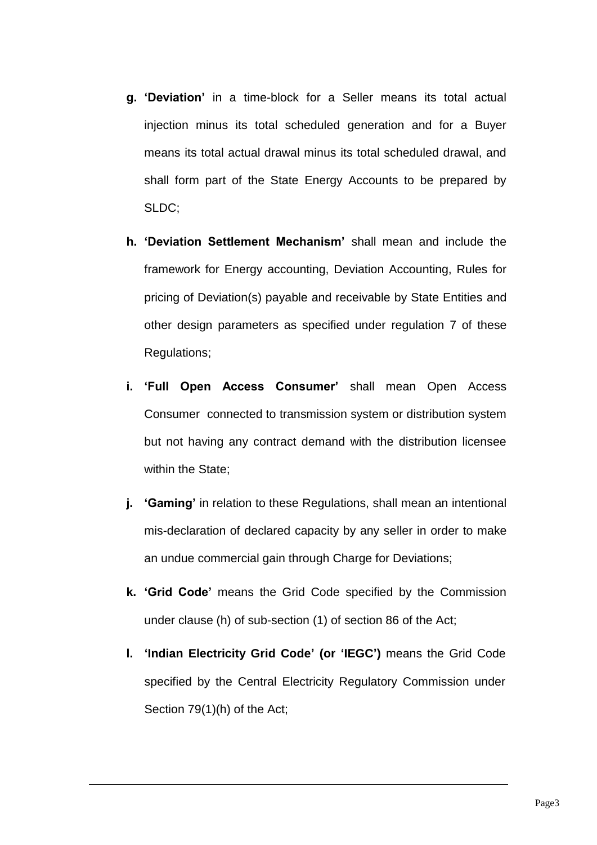- **g. 'Deviation'** in a time-block for a Seller means its total actual injection minus its total scheduled generation and for a Buyer means its total actual drawal minus its total scheduled drawal, and shall form part of the State Energy Accounts to be prepared by SLDC;
- **h. 'Deviation Settlement Mechanism'** shall mean and include the framework for Energy accounting, Deviation Accounting, Rules for pricing of Deviation(s) payable and receivable by State Entities and other design parameters as specified under regulation 7 of these Regulations;
- **i. 'Full Open Access Consumer'** shall mean Open Access Consumer connected to transmission system or distribution system but not having any contract demand with the distribution licensee within the State;
- **j. 'Gaming'** in relation to these Regulations, shall mean an intentional mis-declaration of declared capacity by any seller in order to make an undue commercial gain through Charge for Deviations;
- **k. 'Grid Code'** means the Grid Code specified by the Commission under clause (h) of sub-section (1) of section 86 of the Act;
- **l. 'Indian Electricity Grid Code' (or 'IEGC')** means the Grid Code specified by the Central Electricity Regulatory Commission under Section 79(1)(h) of the Act;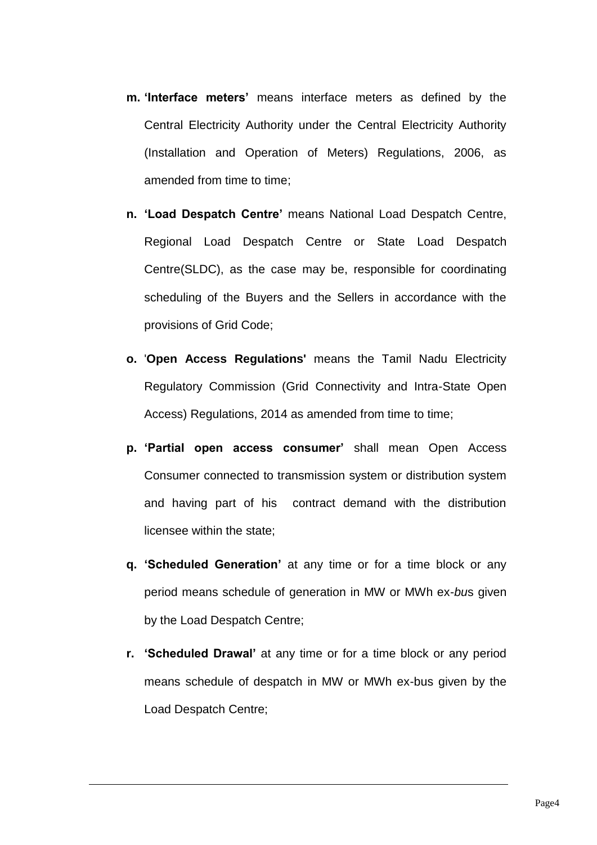- **m. 'Interface meters'** means interface meters as defined by the Central Electricity Authority under the Central Electricity Authority (Installation and Operation of Meters) Regulations, 2006, as amended from time to time;
- **n. 'Load Despatch Centre'** means National Load Despatch Centre, Regional Load Despatch Centre or State Load Despatch Centre(SLDC), as the case may be, responsible for coordinating scheduling of the Buyers and the Sellers in accordance with the provisions of Grid Code;
- **o.** '**Open Access Regulations'** means the Tamil Nadu Electricity Regulatory Commission (Grid Connectivity and Intra-State Open Access) Regulations, 2014 as amended from time to time;
- **p. 'Partial open access consumer'** shall mean Open Access Consumer connected to transmission system or distribution system and having part of his contract demand with the distribution licensee within the state;
- **q. 'Scheduled Generation'** at any time or for a time block or any period means schedule of generation in MW or MWh ex-*bu*s given by the Load Despatch Centre;
- **r. 'Scheduled Drawal'** at any time or for a time block or any period means schedule of despatch in MW or MWh ex-bus given by the Load Despatch Centre;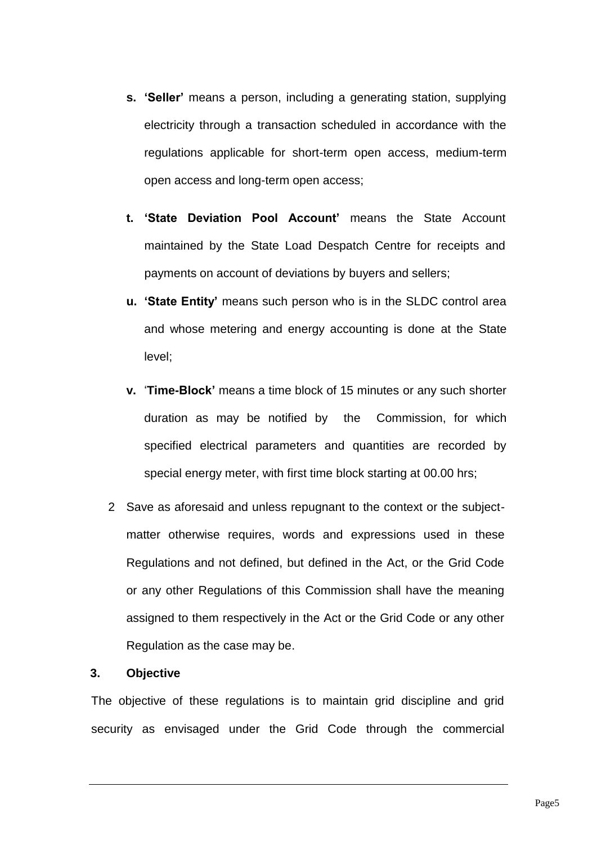- **s. 'Seller'** means a person, including a generating station, supplying electricity through a transaction scheduled in accordance with the regulations applicable for short-term open access, medium-term open access and long-term open access;
- **t. 'State Deviation Pool Account'** means the State Account maintained by the State Load Despatch Centre for receipts and payments on account of deviations by buyers and sellers;
- **u. 'State Entity'** means such person who is in the SLDC control area and whose metering and energy accounting is done at the State level;
- **v.** '**Time-Block'** means a time block of 15 minutes or any such shorter duration as may be notified by the Commission, for which specified electrical parameters and quantities are recorded by special energy meter, with first time block starting at 00.00 hrs;
- 2 Save as aforesaid and unless repugnant to the context or the subjectmatter otherwise requires, words and expressions used in these Regulations and not defined, but defined in the Act, or the Grid Code or any other Regulations of this Commission shall have the meaning assigned to them respectively in the Act or the Grid Code or any other Regulation as the case may be.

#### **3. Objective**

The objective of these regulations is to maintain grid discipline and grid security as envisaged under the Grid Code through the commercial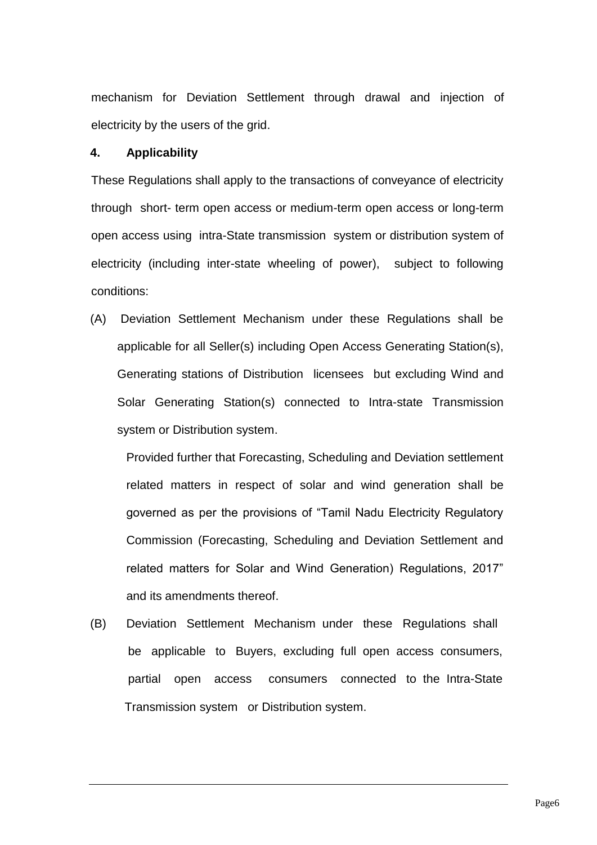mechanism for Deviation Settlement through drawal and injection of electricity by the users of the grid.

#### **4. Applicability**

These Regulations shall apply to the transactions of conveyance of electricity through short- term open access or medium-term open access or long-term open access using intra-State transmission system or distribution system of electricity (including inter-state wheeling of power), subject to following conditions:

(A) Deviation Settlement Mechanism under these Regulations shall be applicable for all Seller(s) including Open Access Generating Station(s), Generating stations of Distribution licensees but excluding Wind and Solar Generating Station(s) connected to Intra-state Transmission system or Distribution system.

Provided further that Forecasting, Scheduling and Deviation settlement related matters in respect of solar and wind generation shall be governed as per the provisions of "Tamil Nadu Electricity Regulatory Commission (Forecasting, Scheduling and Deviation Settlement and related matters for Solar and Wind Generation) Regulations, 2017" and its amendments thereof.

(B) Deviation Settlement Mechanism under these Regulations shall be applicable to Buyers, excluding full open access consumers, partial open access consumers connected to the Intra-State Transmission system or Distribution system.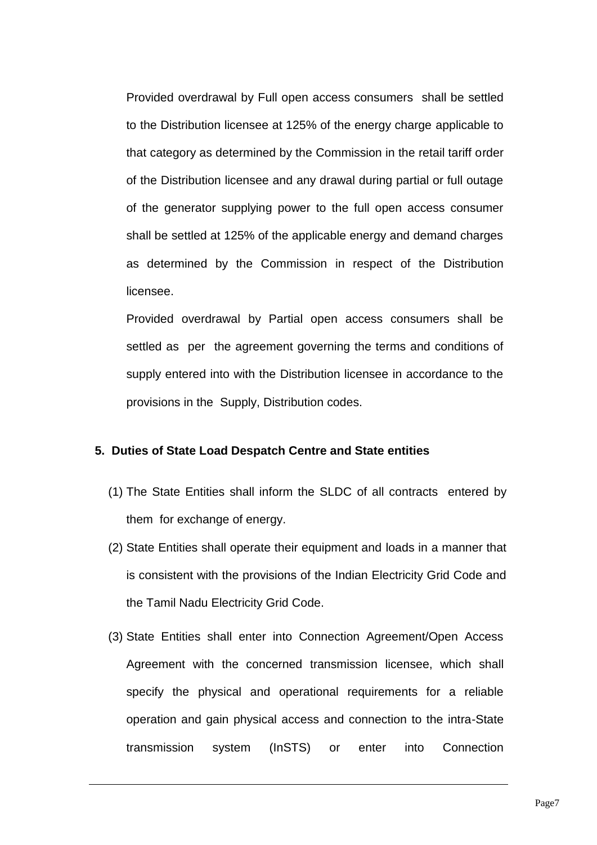Provided overdrawal by Full open access consumers shall be settled to the Distribution licensee at 125% of the energy charge applicable to that category as determined by the Commission in the retail tariff order of the Distribution licensee and any drawal during partial or full outage of the generator supplying power to the full open access consumer shall be settled at 125% of the applicable energy and demand charges as determined by the Commission in respect of the Distribution licensee.

Provided overdrawal by Partial open access consumers shall be settled as per the agreement governing the terms and conditions of supply entered into with the Distribution licensee in accordance to the provisions in the Supply, Distribution codes.

#### **5. Duties of State Load Despatch Centre and State entities**

- (1) The State Entities shall inform the SLDC of all contracts entered by them for exchange of energy.
- (2) State Entities shall operate their equipment and loads in a manner that is consistent with the provisions of the Indian Electricity Grid Code and the Tamil Nadu Electricity Grid Code.
- (3) State Entities shall enter into Connection Agreement/Open Access Agreement with the concerned transmission licensee, which shall specify the physical and operational requirements for a reliable operation and gain physical access and connection to the intra-State transmission system (InSTS) or enter into Connection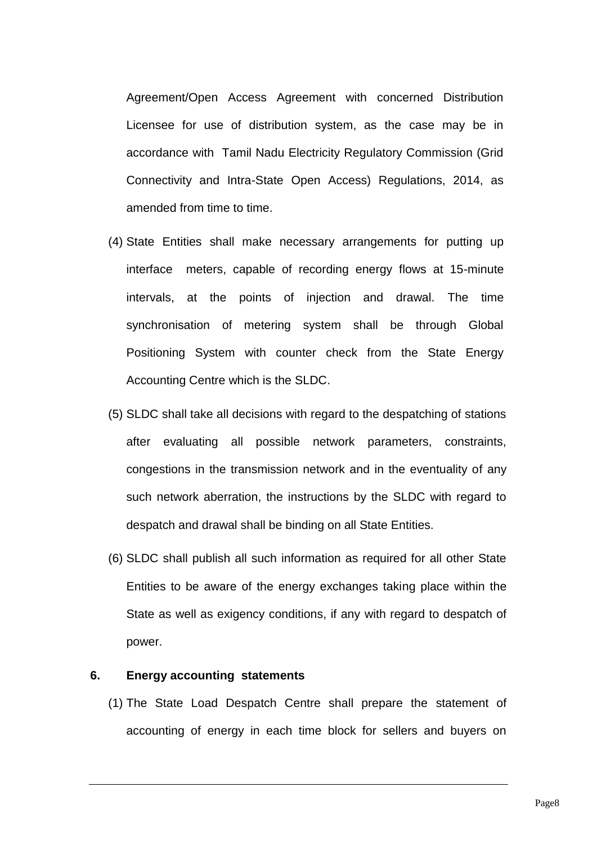Agreement/Open Access Agreement with concerned Distribution Licensee for use of distribution system, as the case may be in accordance with Tamil Nadu Electricity Regulatory Commission (Grid Connectivity and Intra-State Open Access) Regulations, 2014, as amended from time to time.

- (4) State Entities shall make necessary arrangements for putting up interface meters, capable of recording energy flows at 15-minute intervals, at the points of injection and drawal. The time synchronisation of metering system shall be through Global Positioning System with counter check from the State Energy Accounting Centre which is the SLDC.
- (5) SLDC shall take all decisions with regard to the despatching of stations after evaluating all possible network parameters, constraints, congestions in the transmission network and in the eventuality of any such network aberration, the instructions by the SLDC with regard to despatch and drawal shall be binding on all State Entities.
- (6) SLDC shall publish all such information as required for all other State Entities to be aware of the energy exchanges taking place within the State as well as exigency conditions, if any with regard to despatch of power.

#### **6. Energy accounting statements**

(1) The State Load Despatch Centre shall prepare the statement of accounting of energy in each time block for sellers and buyers on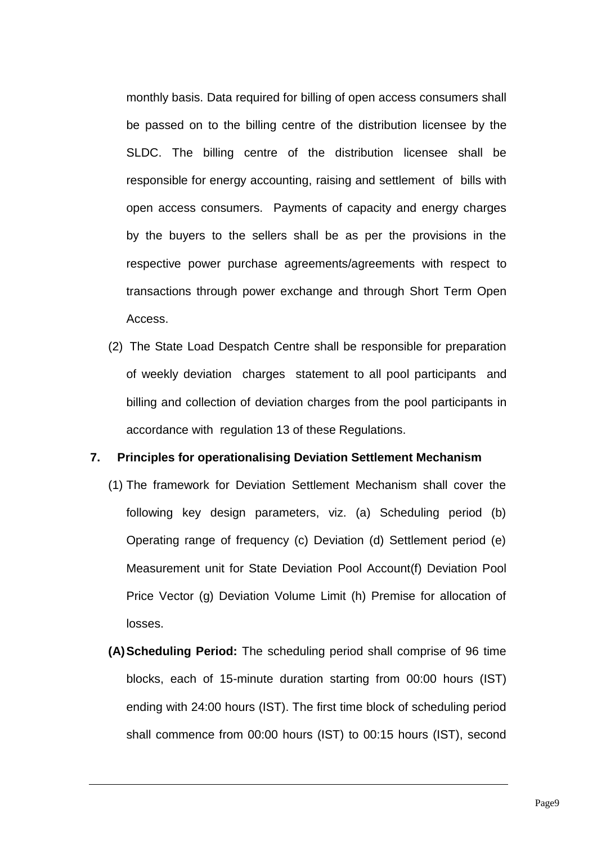monthly basis. Data required for billing of open access consumers shall be passed on to the billing centre of the distribution licensee by the SLDC. The billing centre of the distribution licensee shall be responsible for energy accounting, raising and settlement of bills with open access consumers. Payments of capacity and energy charges by the buyers to the sellers shall be as per the provisions in the respective power purchase agreements/agreements with respect to transactions through power exchange and through Short Term Open Access.

(2) The State Load Despatch Centre shall be responsible for preparation of weekly deviation charges statement to all pool participants and billing and collection of deviation charges from the pool participants in accordance with regulation 13 of these Regulations.

#### **7. Principles for operationalising Deviation Settlement Mechanism**

- (1) The framework for Deviation Settlement Mechanism shall cover the following key design parameters, viz. (a) Scheduling period (b) Operating range of frequency (c) Deviation (d) Settlement period (e) Measurement unit for State Deviation Pool Account(f) Deviation Pool Price Vector (g) Deviation Volume Limit (h) Premise for allocation of losses.
- **(A)Scheduling Period:** The scheduling period shall comprise of 96 time blocks, each of 15-minute duration starting from 00:00 hours (IST) ending with 24:00 hours (IST). The first time block of scheduling period shall commence from 00:00 hours (IST) to 00:15 hours (IST), second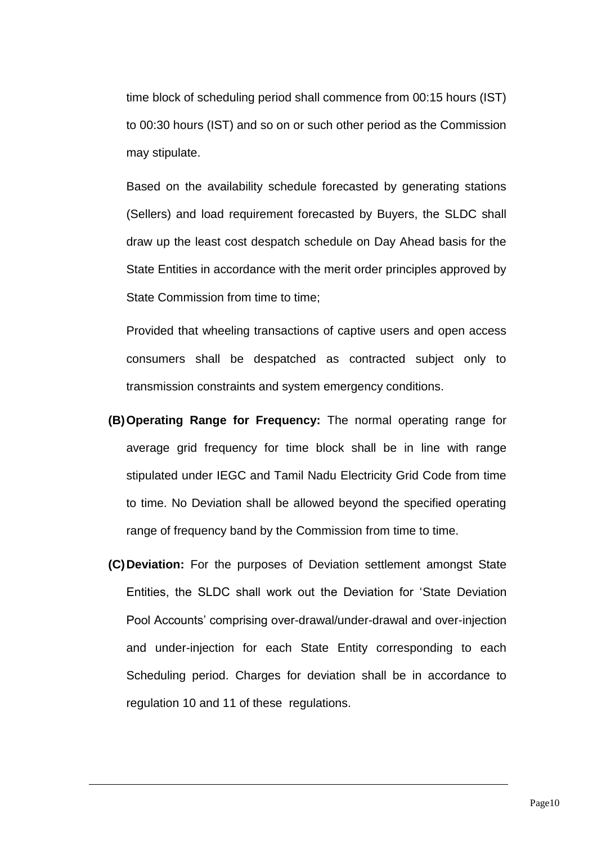time block of scheduling period shall commence from 00:15 hours (IST) to 00:30 hours (IST) and so on or such other period as the Commission may stipulate.

Based on the availability schedule forecasted by generating stations (Sellers) and load requirement forecasted by Buyers, the SLDC shall draw up the least cost despatch schedule on Day Ahead basis for the State Entities in accordance with the merit order principles approved by State Commission from time to time:

Provided that wheeling transactions of captive users and open access consumers shall be despatched as contracted subject only to transmission constraints and system emergency conditions.

- **(B)Operating Range for Frequency:** The normal operating range for average grid frequency for time block shall be in line with range stipulated under IEGC and Tamil Nadu Electricity Grid Code from time to time. No Deviation shall be allowed beyond the specified operating range of frequency band by the Commission from time to time.
- **(C)Deviation:** For the purposes of Deviation settlement amongst State Entities, the SLDC shall work out the Deviation for 'State Deviation Pool Accounts' comprising over-drawal/under-drawal and over-injection and under-injection for each State Entity corresponding to each Scheduling period. Charges for deviation shall be in accordance to regulation 10 and 11 of these regulations.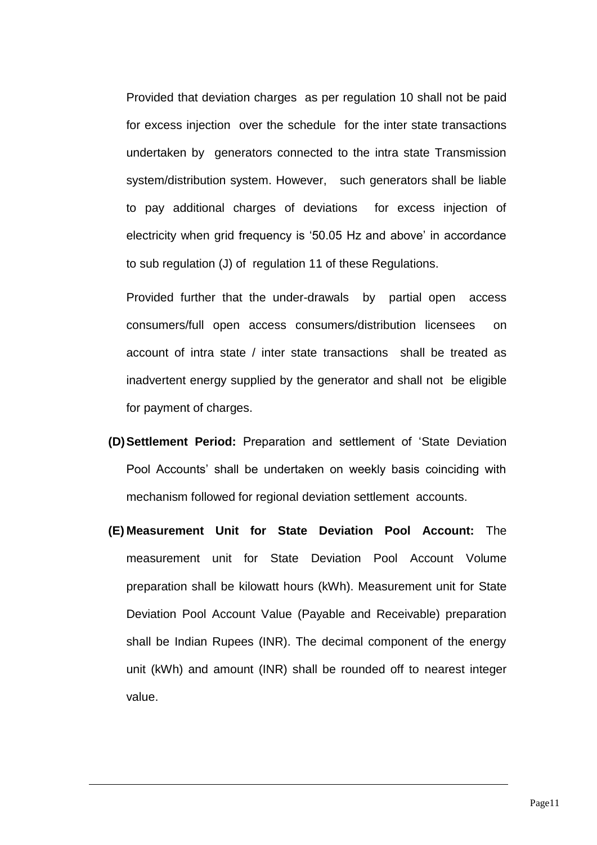Provided that deviation charges as per regulation 10 shall not be paid for excess injection over the schedule for the inter state transactions undertaken by generators connected to the intra state Transmission system/distribution system. However, such generators shall be liable to pay additional charges of deviations for excess injection of electricity when grid frequency is '50.05 Hz and above' in accordance to sub regulation (J) of regulation 11 of these Regulations.

Provided further that the under-drawals by partial open access consumers/full open access consumers/distribution licensees on account of intra state / inter state transactions shall be treated as inadvertent energy supplied by the generator and shall not be eligible for payment of charges.

- **(D)Settlement Period:** Preparation and settlement of 'State Deviation Pool Accounts' shall be undertaken on weekly basis coinciding with mechanism followed for regional deviation settlement accounts.
- **(E) Measurement Unit for State Deviation Pool Account:** The measurement unit for State Deviation Pool Account Volume preparation shall be kilowatt hours (kWh). Measurement unit for State Deviation Pool Account Value (Payable and Receivable) preparation shall be Indian Rupees (INR). The decimal component of the energy unit (kWh) and amount (INR) shall be rounded off to nearest integer value.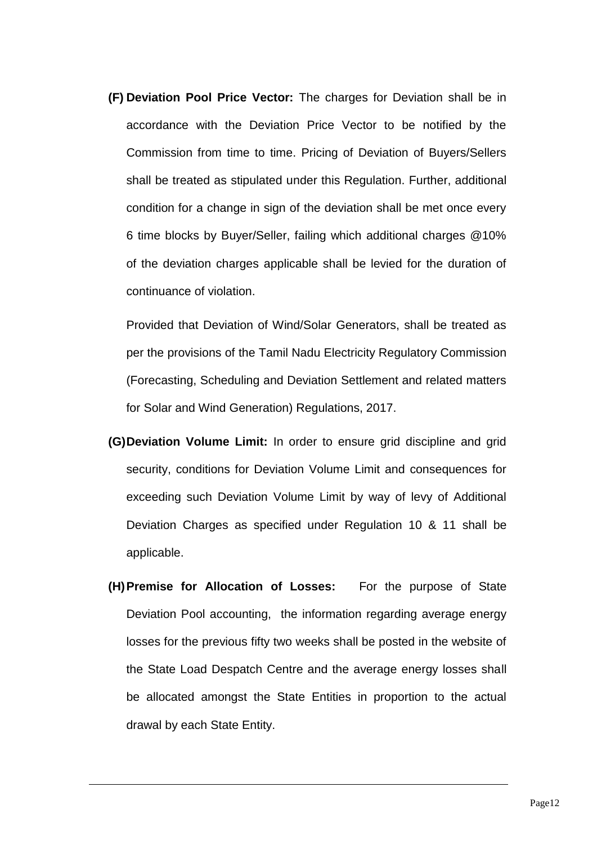**(F) Deviation Pool Price Vector:** The charges for Deviation shall be in accordance with the Deviation Price Vector to be notified by the Commission from time to time. Pricing of Deviation of Buyers/Sellers shall be treated as stipulated under this Regulation. Further, additional condition for a change in sign of the deviation shall be met once every 6 time blocks by Buyer/Seller, failing which additional charges @10% of the deviation charges applicable shall be levied for the duration of continuance of violation.

Provided that Deviation of Wind/Solar Generators, shall be treated as per the provisions of the Tamil Nadu Electricity Regulatory Commission (Forecasting, Scheduling and Deviation Settlement and related matters for Solar and Wind Generation) Regulations, 2017.

- **(G)Deviation Volume Limit:** In order to ensure grid discipline and grid security, conditions for Deviation Volume Limit and consequences for exceeding such Deviation Volume Limit by way of levy of Additional Deviation Charges as specified under Regulation 10 & 11 shall be applicable.
- **(H)Premise for Allocation of Losses:** For the purpose of State Deviation Pool accounting, the information regarding average energy losses for the previous fifty two weeks shall be posted in the website of the State Load Despatch Centre and the average energy losses shall be allocated amongst the State Entities in proportion to the actual drawal by each State Entity.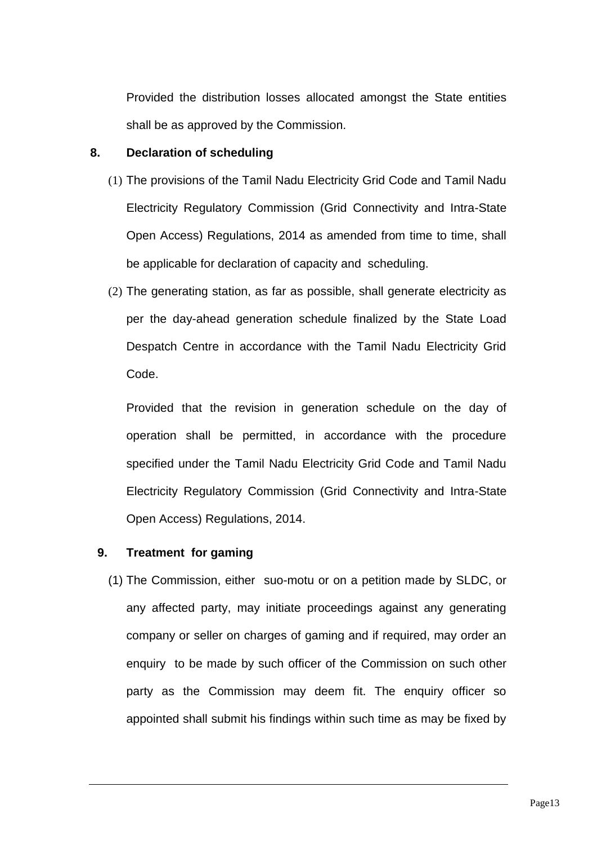Provided the distribution losses allocated amongst the State entities shall be as approved by the Commission.

## **8. Declaration of scheduling**

- (1) The provisions of the Tamil Nadu Electricity Grid Code and Tamil Nadu Electricity Regulatory Commission (Grid Connectivity and Intra-State Open Access) Regulations, 2014 as amended from time to time, shall be applicable for declaration of capacity and scheduling.
- (2) The generating station, as far as possible, shall generate electricity as per the day-ahead generation schedule finalized by the State Load Despatch Centre in accordance with the Tamil Nadu Electricity Grid Code.

Provided that the revision in generation schedule on the day of operation shall be permitted, in accordance with the procedure specified under the Tamil Nadu Electricity Grid Code and Tamil Nadu Electricity Regulatory Commission (Grid Connectivity and Intra-State Open Access) Regulations, 2014.

## **9. Treatment for gaming**

(1) The Commission, either suo-motu or on a petition made by SLDC, or any affected party, may initiate proceedings against any generating company or seller on charges of gaming and if required, may order an enquiry to be made by such officer of the Commission on such other party as the Commission may deem fit. The enquiry officer so appointed shall submit his findings within such time as may be fixed by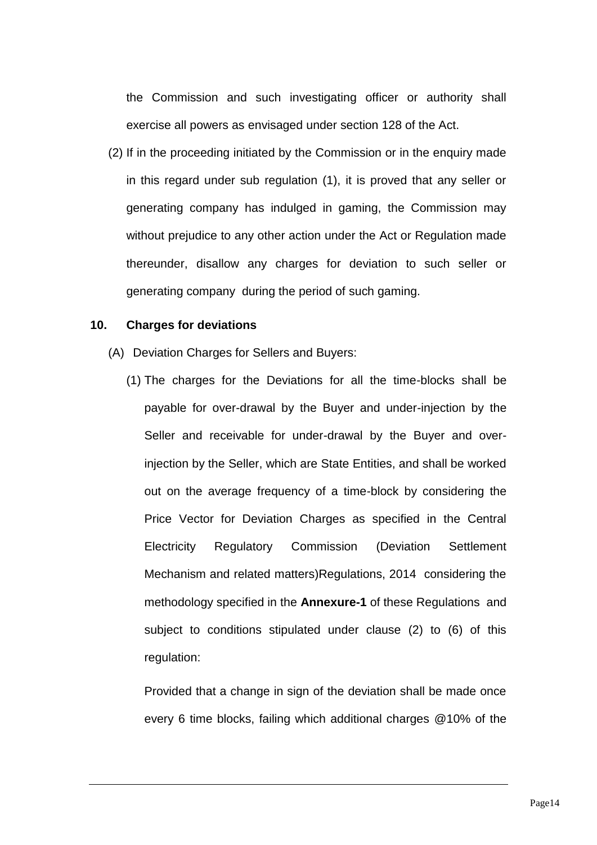the Commission and such investigating officer or authority shall exercise all powers as envisaged under section 128 of the Act.

(2) If in the proceeding initiated by the Commission or in the enquiry made in this regard under sub regulation (1), it is proved that any seller or generating company has indulged in gaming, the Commission may without prejudice to any other action under the Act or Regulation made thereunder, disallow any charges for deviation to such seller or generating company during the period of such gaming.

#### **10. Charges for deviations**

- (A) Deviation Charges for Sellers and Buyers:
	- (1) The charges for the Deviations for all the time-blocks shall be payable for over-drawal by the Buyer and under-injection by the Seller and receivable for under-drawal by the Buyer and overinjection by the Seller, which are State Entities, and shall be worked out on the average frequency of a time-block by considering the Price Vector for Deviation Charges as specified in the Central Electricity Regulatory Commission (Deviation Settlement Mechanism and related matters)Regulations, 2014 considering the methodology specified in the **Annexure-1** of these Regulations and subject to conditions stipulated under clause (2) to (6) of this regulation:

Provided that a change in sign of the deviation shall be made once every 6 time blocks, failing which additional charges @10% of the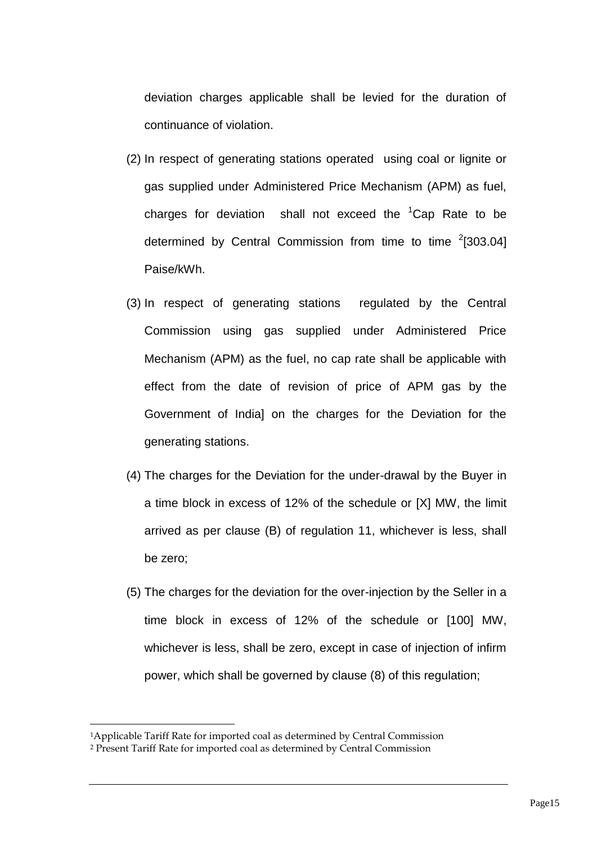deviation charges applicable shall be levied for the duration of continuance of violation.

- (2) In respect of generating stations operated using coal or lignite or gas supplied under Administered Price Mechanism (APM) as fuel, charges for deviation shall not exceed the  ${}^{1}$ Cap Rate to be determined by Central Commission from time to time  $2$ [303.04] Paise/kWh.
- (3) In respect of generating stations regulated by the Central Commission using gas supplied under Administered Price Mechanism (APM) as the fuel, no cap rate shall be applicable with effect from the date of revision of price of APM gas by the Government of India] on the charges for the Deviation for the generating stations.
- (4) The charges for the Deviation for the under-drawal by the Buyer in a time block in excess of 12% of the schedule or [X] MW, the limit arrived as per clause (B) of regulation 11, whichever is less, shall be zero;
- (5) The charges for the deviation for the over-injection by the Seller in a time block in excess of 12% of the schedule or [100] MW, whichever is less, shall be zero, except in case of injection of infirm power, which shall be governed by clause (8) of this regulation;

-

<sup>1</sup>Applicable Tariff Rate for imported coal as determined by Central Commission

<sup>2</sup> Present Tariff Rate for imported coal as determined by Central Commission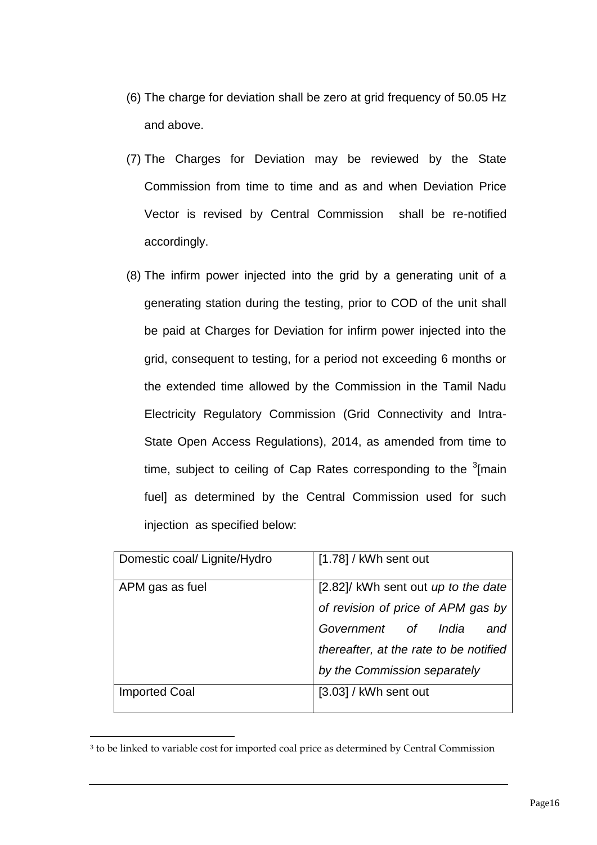- (6) The charge for deviation shall be zero at grid frequency of 50.05 Hz and above.
- (7) The Charges for Deviation may be reviewed by the State Commission from time to time and as and when Deviation Price Vector is revised by Central Commission shall be re-notified accordingly.
- (8) The infirm power injected into the grid by a generating unit of a generating station during the testing, prior to COD of the unit shall be paid at Charges for Deviation for infirm power injected into the grid, consequent to testing, for a period not exceeding 6 months or the extended time allowed by the Commission in the Tamil Nadu Electricity Regulatory Commission (Grid Connectivity and Intra-State Open Access Regulations), 2014, as amended from time to time, subject to ceiling of Cap Rates corresponding to the  $3$ [main fuel] as determined by the Central Commission used for such injection as specified below:

| Domestic coal/ Lignite/Hydro | $[1.78]$ / kWh sent out                |
|------------------------------|----------------------------------------|
| APM gas as fuel              | [2.82]/ kWh sent out up to the date    |
|                              | of revision of price of APM gas by     |
|                              | Government of India<br>and             |
|                              | thereafter, at the rate to be notified |
|                              | by the Commission separately           |
| <b>Imported Coal</b>         | $[3.03]$ / kWh sent out                |

<sup>3</sup> to be linked to variable cost for imported coal price as determined by Central Commission

-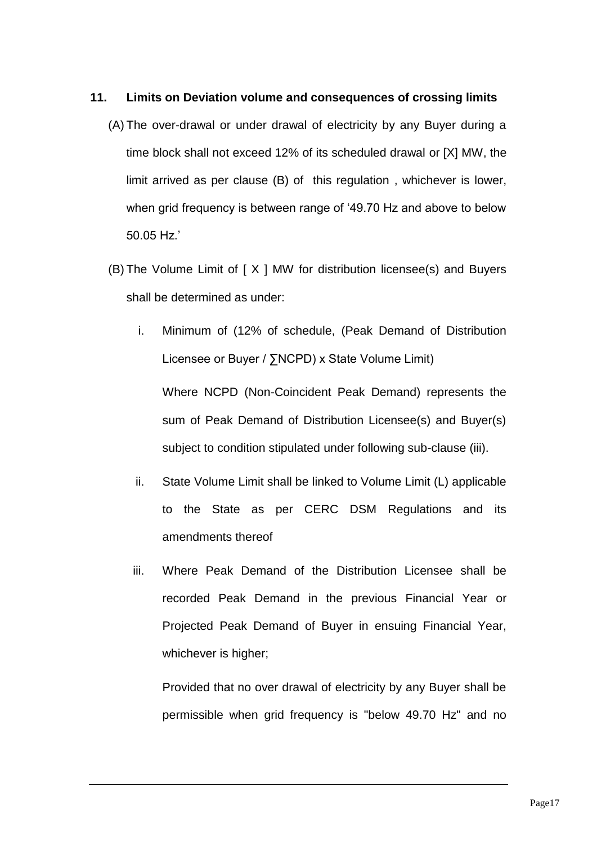### **11. Limits on Deviation volume and consequences of crossing limits**

- (A) The over-drawal or under drawal of electricity by any Buyer during a time block shall not exceed 12% of its scheduled drawal or [X] MW, the limit arrived as per clause (B) of this regulation , whichever is lower, when grid frequency is between range of '49.70 Hz and above to below 50.05 Hz.'
- (B) The Volume Limit of  $[X \mid MW$  for distribution licensee(s) and Buyers shall be determined as under:
	- i. Minimum of (12% of schedule, (Peak Demand of Distribution Licensee or Buyer / ∑NCPD) x State Volume Limit)

Where NCPD (Non-Coincident Peak Demand) represents the sum of Peak Demand of Distribution Licensee(s) and Buyer(s) subject to condition stipulated under following sub-clause (iii).

- ii. State Volume Limit shall be linked to Volume Limit (L) applicable to the State as per CERC DSM Regulations and its amendments thereof
- iii. Where Peak Demand of the Distribution Licensee shall be recorded Peak Demand in the previous Financial Year or Projected Peak Demand of Buyer in ensuing Financial Year, whichever is higher:

Provided that no over drawal of electricity by any Buyer shall be permissible when grid frequency is "below 49.70 Hz" and no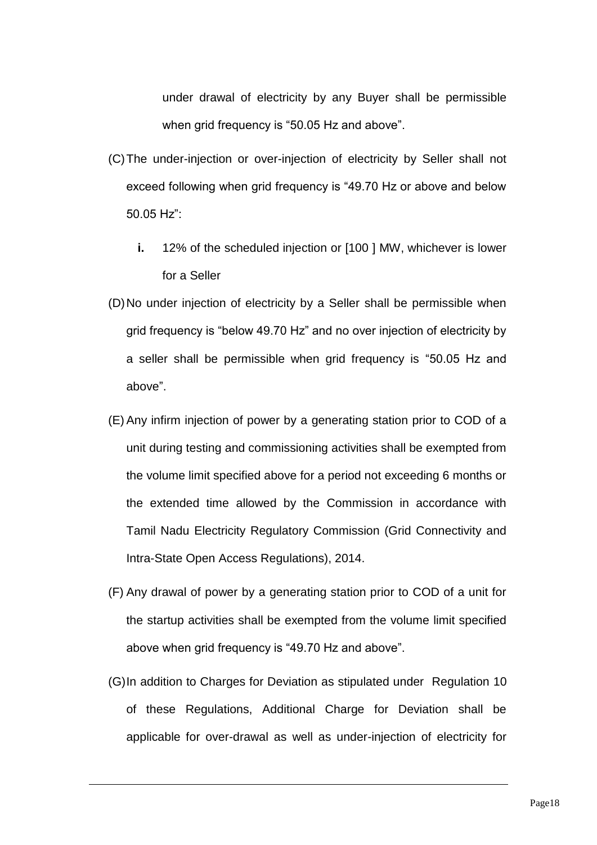under drawal of electricity by any Buyer shall be permissible when grid frequency is "50.05 Hz and above".

- (C)The under-injection or over-injection of electricity by Seller shall not exceed following when grid frequency is "49.70 Hz or above and below 50.05 Hz":
	- **i.** 12% of the scheduled injection or [100 ] MW, whichever is lower for a Seller
- (D)No under injection of electricity by a Seller shall be permissible when grid frequency is "below 49.70 Hz" and no over injection of electricity by a seller shall be permissible when grid frequency is "50.05 Hz and above".
- (E) Any infirm injection of power by a generating station prior to COD of a unit during testing and commissioning activities shall be exempted from the volume limit specified above for a period not exceeding 6 months or the extended time allowed by the Commission in accordance with Tamil Nadu Electricity Regulatory Commission (Grid Connectivity and Intra-State Open Access Regulations), 2014.
- (F) Any drawal of power by a generating station prior to COD of a unit for the startup activities shall be exempted from the volume limit specified above when grid frequency is "49.70 Hz and above".
- (G)In addition to Charges for Deviation as stipulated under Regulation 10 of these Regulations, Additional Charge for Deviation shall be applicable for over-drawal as well as under-injection of electricity for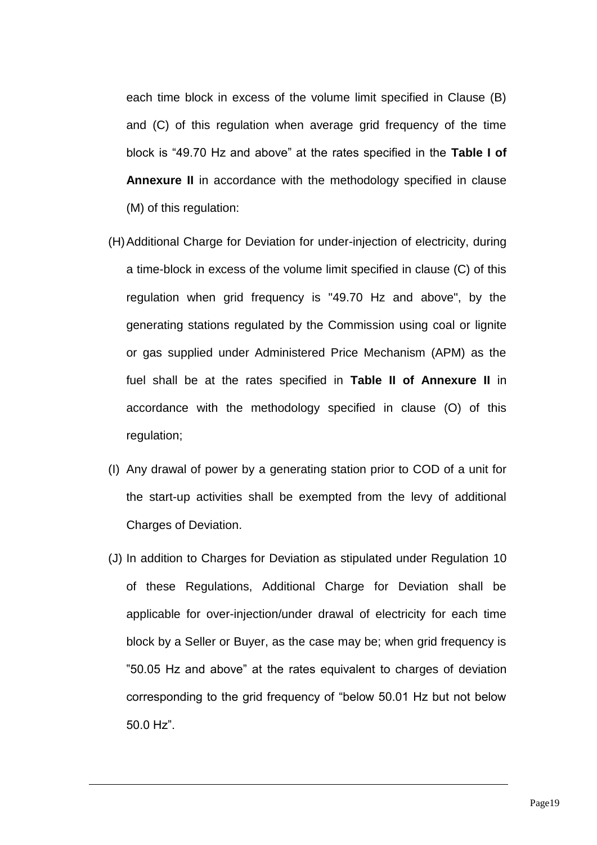each time block in excess of the volume limit specified in Clause (B) and (C) of this regulation when average grid frequency of the time block is "49.70 Hz and above" at the rates specified in the **Table I of Annexure II** in accordance with the methodology specified in clause (M) of this regulation:

- (H)Additional Charge for Deviation for under-injection of electricity, during a time-block in excess of the volume limit specified in clause (C) of this regulation when grid frequency is "49.70 Hz and above", by the generating stations regulated by the Commission using coal or lignite or gas supplied under Administered Price Mechanism (APM) as the fuel shall be at the rates specified in **Table II of Annexure II** in accordance with the methodology specified in clause (O) of this regulation;
- (I) Any drawal of power by a generating station prior to COD of a unit for the start-up activities shall be exempted from the levy of additional Charges of Deviation.
- (J) In addition to Charges for Deviation as stipulated under Regulation 10 of these Regulations, Additional Charge for Deviation shall be applicable for over-injection/under drawal of electricity for each time block by a Seller or Buyer, as the case may be; when grid frequency is "50.05 Hz and above" at the rates equivalent to charges of deviation corresponding to the grid frequency of "below 50.01 Hz but not below 50.0 Hz".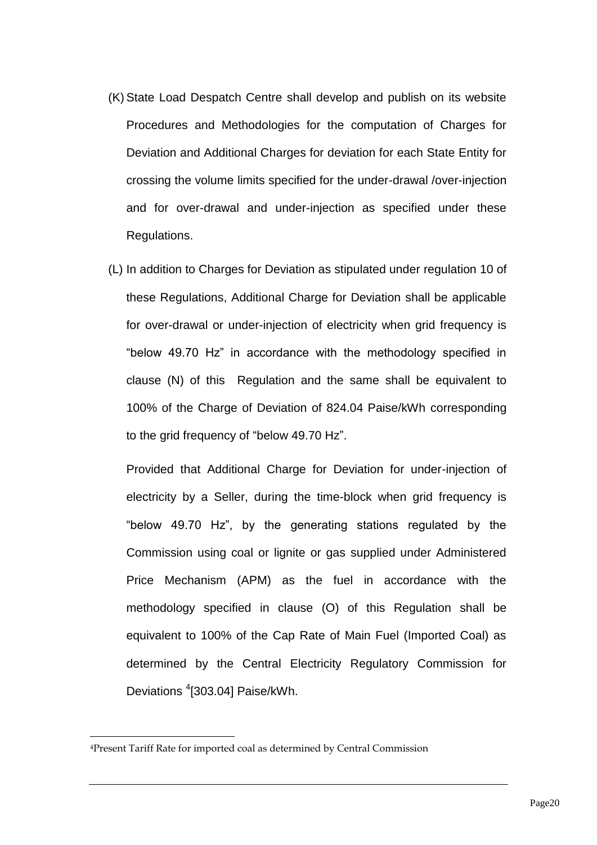- (K) State Load Despatch Centre shall develop and publish on its website Procedures and Methodologies for the computation of Charges for Deviation and Additional Charges for deviation for each State Entity for crossing the volume limits specified for the under-drawal /over-injection and for over-drawal and under-injection as specified under these Regulations.
- (L) In addition to Charges for Deviation as stipulated under regulation 10 of these Regulations, Additional Charge for Deviation shall be applicable for over-drawal or under-injection of electricity when grid frequency is "below 49.70 Hz" in accordance with the methodology specified in clause (N) of this Regulation and the same shall be equivalent to 100% of the Charge of Deviation of 824.04 Paise/kWh corresponding to the grid frequency of "below 49.70 Hz".

Provided that Additional Charge for Deviation for under-injection of electricity by a Seller, during the time-block when grid frequency is "below 49.70 Hz", by the generating stations regulated by the Commission using coal or lignite or gas supplied under Administered Price Mechanism (APM) as the fuel in accordance with the methodology specified in clause (O) of this Regulation shall be equivalent to 100% of the Cap Rate of Main Fuel (Imported Coal) as determined by the Central Electricity Regulatory Commission for Deviations <sup>4</sup>[303.04] Paise/kWh.

-

<sup>4</sup>Present Tariff Rate for imported coal as determined by Central Commission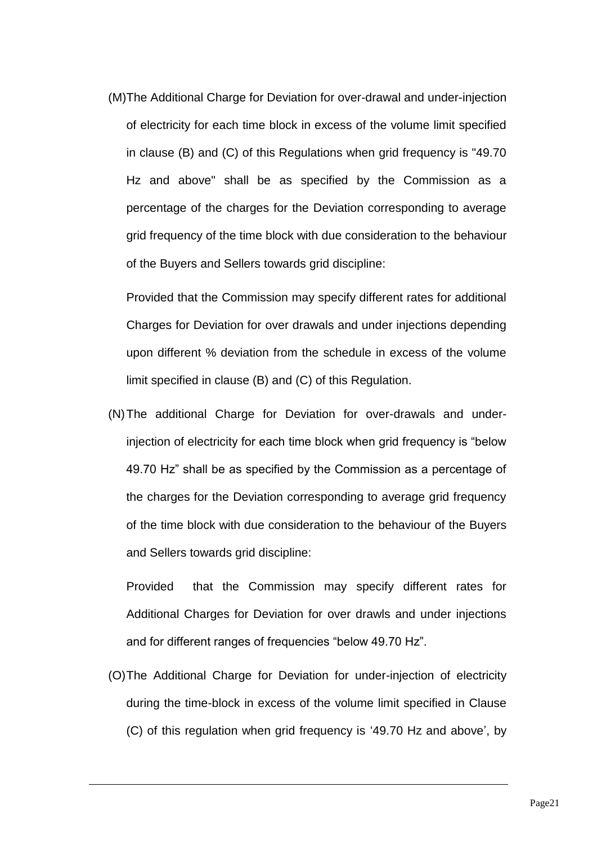(M)The Additional Charge for Deviation for over-drawal and under-injection of electricity for each time block in excess of the volume limit specified in clause (B) and (C) of this Regulations when grid frequency is "49.70 Hz and above" shall be as specified by the Commission as a percentage of the charges for the Deviation corresponding to average grid frequency of the time block with due consideration to the behaviour of the Buyers and Sellers towards grid discipline:

Provided that the Commission may specify different rates for additional Charges for Deviation for over drawals and under injections depending upon different % deviation from the schedule in excess of the volume limit specified in clause (B) and (C) of this Regulation.

(N)The additional Charge for Deviation for over-drawals and underinjection of electricity for each time block when grid frequency is "below 49.70 Hz" shall be as specified by the Commission as a percentage of the charges for the Deviation corresponding to average grid frequency of the time block with due consideration to the behaviour of the Buyers and Sellers towards grid discipline:

Provided that the Commission may specify different rates for Additional Charges for Deviation for over drawls and under injections and for different ranges of frequencies "below 49.70 Hz".

(O)The Additional Charge for Deviation for under-injection of electricity during the time-block in excess of the volume limit specified in Clause (C) of this regulation when grid frequency is '49.70 Hz and above', by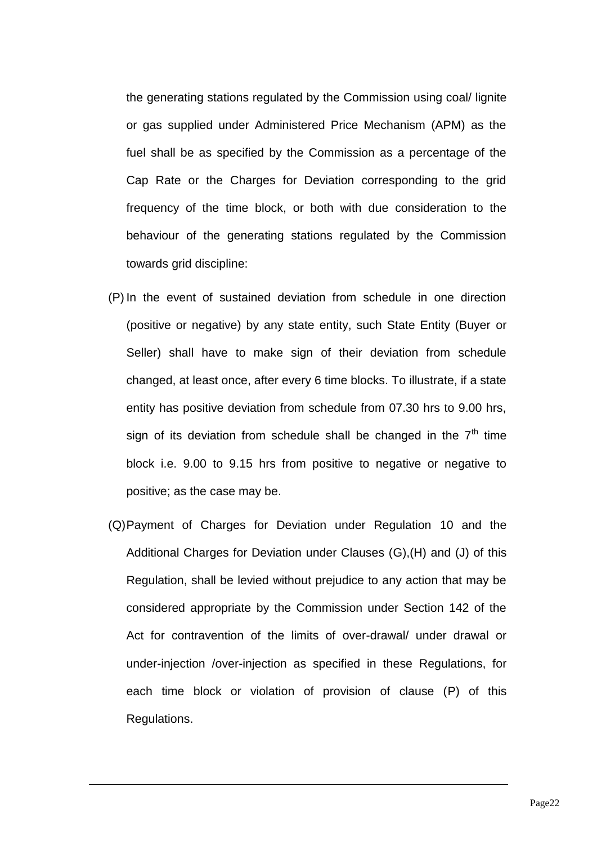the generating stations regulated by the Commission using coal/ lignite or gas supplied under Administered Price Mechanism (APM) as the fuel shall be as specified by the Commission as a percentage of the Cap Rate or the Charges for Deviation corresponding to the grid frequency of the time block, or both with due consideration to the behaviour of the generating stations regulated by the Commission towards grid discipline:

- (P) In the event of sustained deviation from schedule in one direction (positive or negative) by any state entity, such State Entity (Buyer or Seller) shall have to make sign of their deviation from schedule changed, at least once, after every 6 time blocks. To illustrate, if a state entity has positive deviation from schedule from 07.30 hrs to 9.00 hrs, sign of its deviation from schedule shall be changed in the  $7<sup>th</sup>$  time block i.e. 9.00 to 9.15 hrs from positive to negative or negative to positive; as the case may be.
- (Q)Payment of Charges for Deviation under Regulation 10 and the Additional Charges for Deviation under Clauses (G),(H) and (J) of this Regulation, shall be levied without prejudice to any action that may be considered appropriate by the Commission under Section 142 of the Act for contravention of the limits of over-drawal/ under drawal or under-injection /over-injection as specified in these Regulations, for each time block or violation of provision of clause (P) of this Regulations.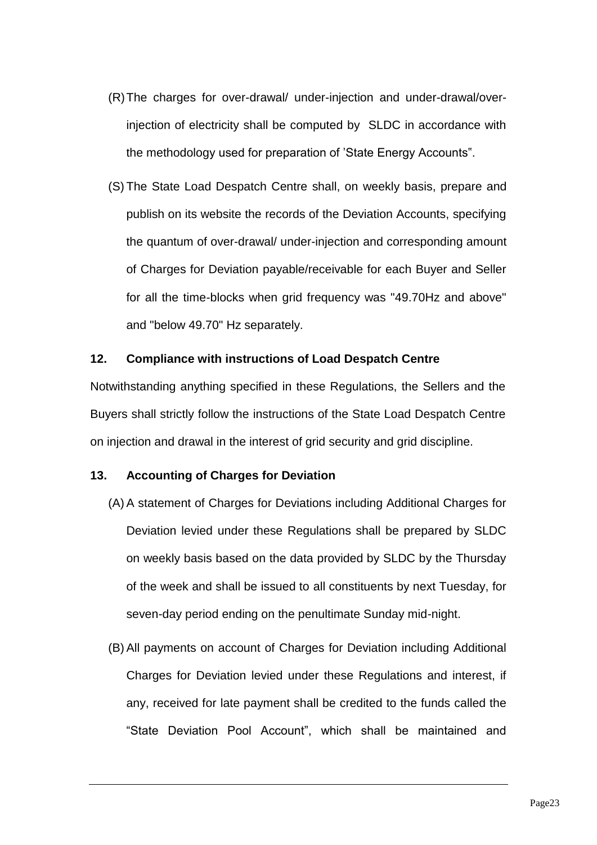- (R)The charges for over-drawal/ under-injection and under-drawal/overinjection of electricity shall be computed by SLDC in accordance with the methodology used for preparation of 'State Energy Accounts".
- (S) The State Load Despatch Centre shall, on weekly basis, prepare and publish on its website the records of the Deviation Accounts, specifying the quantum of over-drawal/ under-injection and corresponding amount of Charges for Deviation payable/receivable for each Buyer and Seller for all the time-blocks when grid frequency was "49.70Hz and above" and "below 49.70" Hz separately.

#### **12. Compliance with instructions of Load Despatch Centre**

Notwithstanding anything specified in these Regulations, the Sellers and the Buyers shall strictly follow the instructions of the State Load Despatch Centre on injection and drawal in the interest of grid security and grid discipline.

#### **13. Accounting of Charges for Deviation**

- (A) A statement of Charges for Deviations including Additional Charges for Deviation levied under these Regulations shall be prepared by SLDC on weekly basis based on the data provided by SLDC by the Thursday of the week and shall be issued to all constituents by next Tuesday, for seven-day period ending on the penultimate Sunday mid-night.
- (B) All payments on account of Charges for Deviation including Additional Charges for Deviation levied under these Regulations and interest, if any, received for late payment shall be credited to the funds called the "State Deviation Pool Account", which shall be maintained and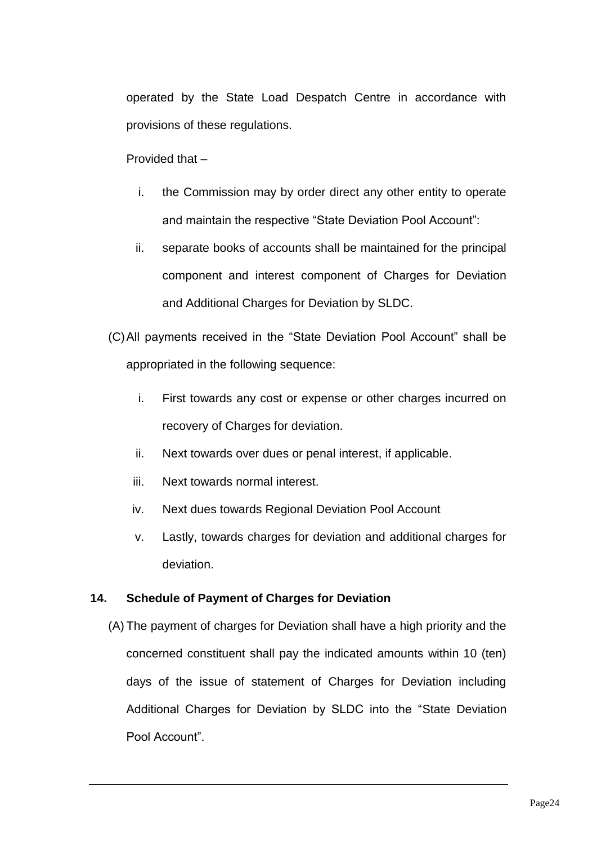operated by the State Load Despatch Centre in accordance with provisions of these regulations.

Provided that –

- i. the Commission may by order direct any other entity to operate and maintain the respective "State Deviation Pool Account":
- ii. separate books of accounts shall be maintained for the principal component and interest component of Charges for Deviation and Additional Charges for Deviation by SLDC.
- (C)All payments received in the "State Deviation Pool Account" shall be appropriated in the following sequence:
	- i. First towards any cost or expense or other charges incurred on recovery of Charges for deviation.
	- ii. Next towards over dues or penal interest, if applicable.
	- iii. Next towards normal interest.
	- iv. Next dues towards Regional Deviation Pool Account
	- v. Lastly, towards charges for deviation and additional charges for deviation.

## **14. Schedule of Payment of Charges for Deviation**

(A) The payment of charges for Deviation shall have a high priority and the concerned constituent shall pay the indicated amounts within 10 (ten) days of the issue of statement of Charges for Deviation including Additional Charges for Deviation by SLDC into the "State Deviation Pool Account".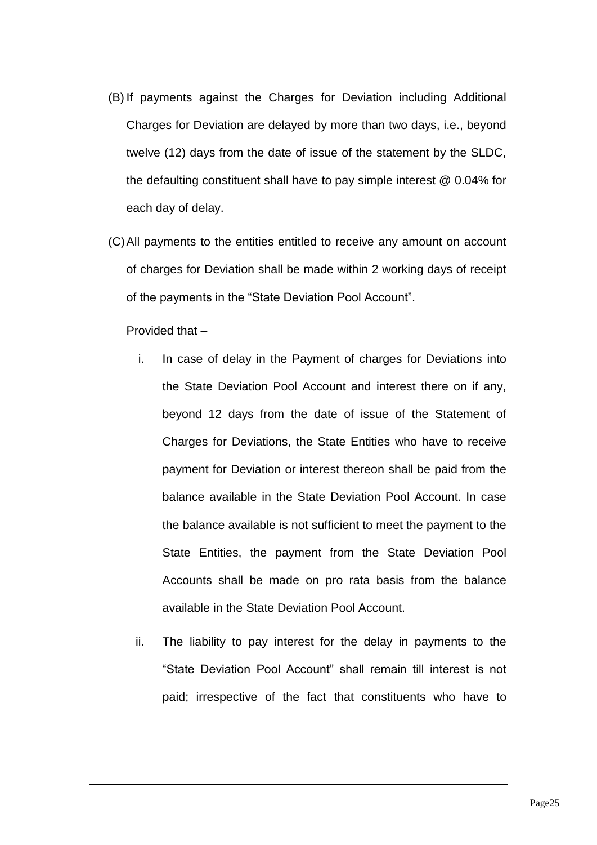- (B) If payments against the Charges for Deviation including Additional Charges for Deviation are delayed by more than two days, i.e., beyond twelve (12) days from the date of issue of the statement by the SLDC, the defaulting constituent shall have to pay simple interest @ 0.04% for each day of delay.
- (C)All payments to the entities entitled to receive any amount on account of charges for Deviation shall be made within 2 working days of receipt of the payments in the "State Deviation Pool Account".

#### Provided that –

- i. In case of delay in the Payment of charges for Deviations into the State Deviation Pool Account and interest there on if any, beyond 12 days from the date of issue of the Statement of Charges for Deviations, the State Entities who have to receive payment for Deviation or interest thereon shall be paid from the balance available in the State Deviation Pool Account. In case the balance available is not sufficient to meet the payment to the State Entities, the payment from the State Deviation Pool Accounts shall be made on pro rata basis from the balance available in the State Deviation Pool Account.
- ii. The liability to pay interest for the delay in payments to the "State Deviation Pool Account" shall remain till interest is not paid; irrespective of the fact that constituents who have to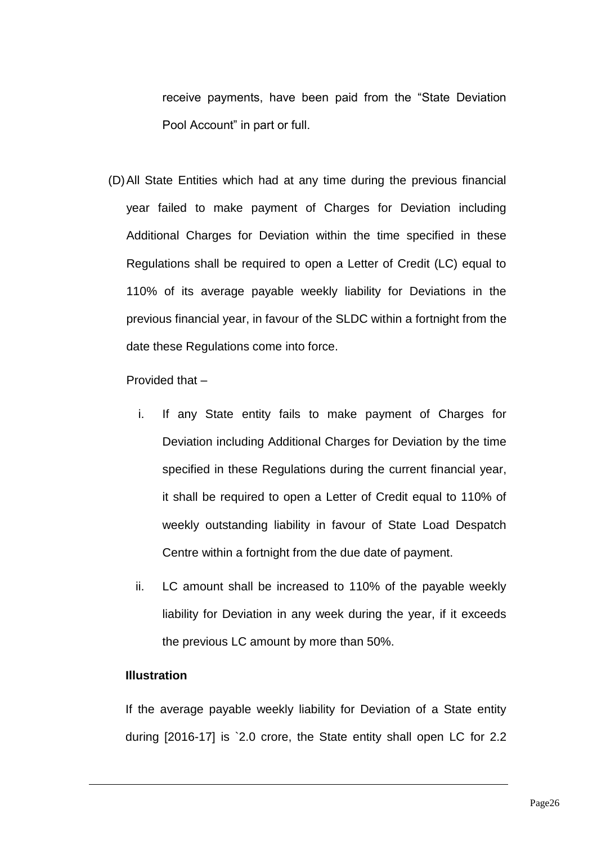receive payments, have been paid from the "State Deviation Pool Account" in part or full.

(D)All State Entities which had at any time during the previous financial year failed to make payment of Charges for Deviation including Additional Charges for Deviation within the time specified in these Regulations shall be required to open a Letter of Credit (LC) equal to 110% of its average payable weekly liability for Deviations in the previous financial year, in favour of the SLDC within a fortnight from the date these Regulations come into force.

Provided that –

- i. If any State entity fails to make payment of Charges for Deviation including Additional Charges for Deviation by the time specified in these Regulations during the current financial year, it shall be required to open a Letter of Credit equal to 110% of weekly outstanding liability in favour of State Load Despatch Centre within a fortnight from the due date of payment.
- ii. LC amount shall be increased to 110% of the payable weekly liability for Deviation in any week during the year, if it exceeds the previous LC amount by more than 50%.

### **Illustration**

If the average payable weekly liability for Deviation of a State entity during [2016-17] is `2.0 crore, the State entity shall open LC for 2.2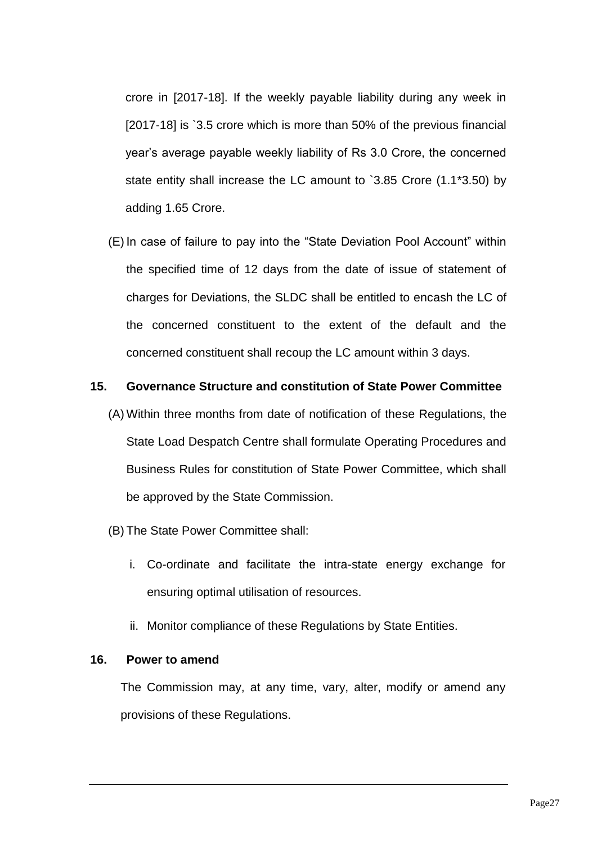crore in [2017-18]. If the weekly payable liability during any week in [2017-18] is `3.5 crore which is more than 50% of the previous financial year's average payable weekly liability of Rs 3.0 Crore, the concerned state entity shall increase the LC amount to `3.85 Crore (1.1\*3.50) by adding 1.65 Crore.

(E) In case of failure to pay into the "State Deviation Pool Account" within the specified time of 12 days from the date of issue of statement of charges for Deviations, the SLDC shall be entitled to encash the LC of the concerned constituent to the extent of the default and the concerned constituent shall recoup the LC amount within 3 days.

#### **15. Governance Structure and constitution of State Power Committee**

- (A) Within three months from date of notification of these Regulations, the State Load Despatch Centre shall formulate Operating Procedures and Business Rules for constitution of State Power Committee, which shall be approved by the State Commission.
- (B) The State Power Committee shall:
	- i. Co-ordinate and facilitate the intra-state energy exchange for ensuring optimal utilisation of resources.
	- ii. Monitor compliance of these Regulations by State Entities.

#### **16. Power to amend**

The Commission may, at any time, vary, alter, modify or amend any provisions of these Regulations.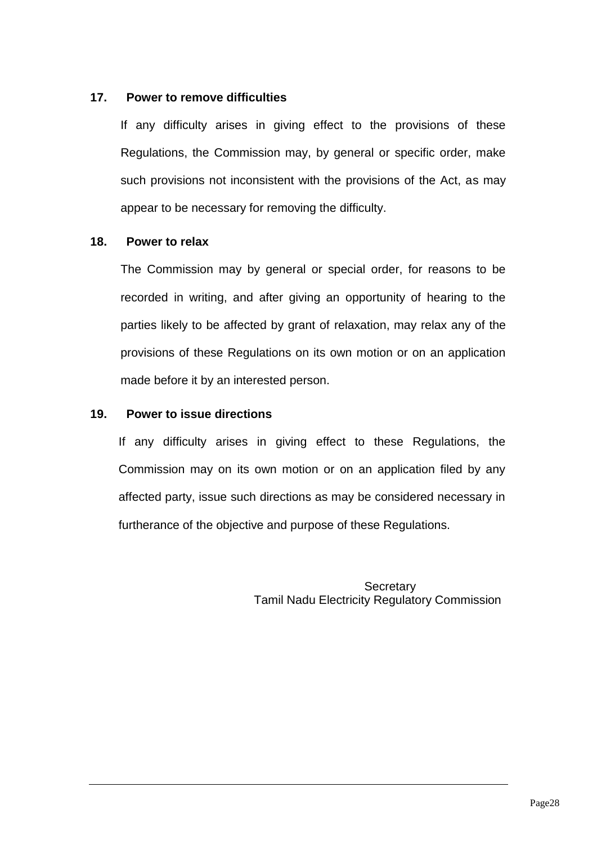## **17. Power to remove difficulties**

If any difficulty arises in giving effect to the provisions of these Regulations, the Commission may, by general or specific order, make such provisions not inconsistent with the provisions of the Act, as may appear to be necessary for removing the difficulty.

## **18. Power to relax**

The Commission may by general or special order, for reasons to be recorded in writing, and after giving an opportunity of hearing to the parties likely to be affected by grant of relaxation, may relax any of the provisions of these Regulations on its own motion or on an application made before it by an interested person.

## **19. Power to issue directions**

If any difficulty arises in giving effect to these Regulations, the Commission may on its own motion or on an application filed by any affected party, issue such directions as may be considered necessary in furtherance of the objective and purpose of these Regulations.

> **Secretary** Tamil Nadu Electricity Regulatory Commission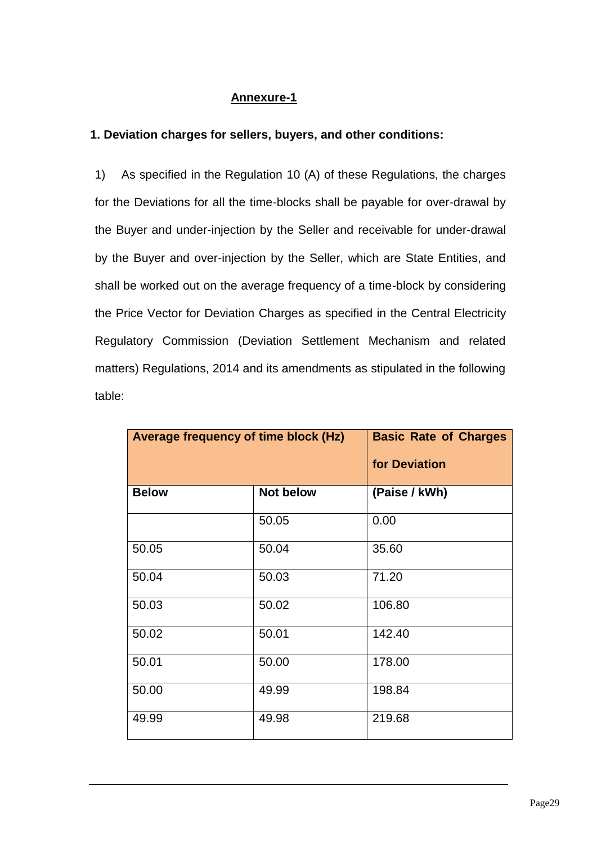## **Annexure-1**

## **1. Deviation charges for sellers, buyers, and other conditions:**

1) As specified in the Regulation 10 (A) of these Regulations, the charges for the Deviations for all the time-blocks shall be payable for over-drawal by the Buyer and under-injection by the Seller and receivable for under-drawal by the Buyer and over-injection by the Seller, which are State Entities, and shall be worked out on the average frequency of a time-block by considering the Price Vector for Deviation Charges as specified in the Central Electricity Regulatory Commission (Deviation Settlement Mechanism and related matters) Regulations, 2014 and its amendments as stipulated in the following table:

| Average frequency of time block (Hz) |                  | <b>Basic Rate of Charges</b><br>for Deviation |
|--------------------------------------|------------------|-----------------------------------------------|
|                                      |                  |                                               |
| <b>Below</b>                         | <b>Not below</b> | (Paise / kWh)                                 |
|                                      | 50.05            | 0.00                                          |
| 50.05                                | 50.04            | 35.60                                         |
| 50.04                                | 50.03            | 71.20                                         |
| 50.03                                | 50.02            | 106.80                                        |
| 50.02                                | 50.01            | 142.40                                        |
| 50.01                                | 50.00            | 178.00                                        |
| 50.00                                | 49.99            | 198.84                                        |
| 49.99                                | 49.98            | 219.68                                        |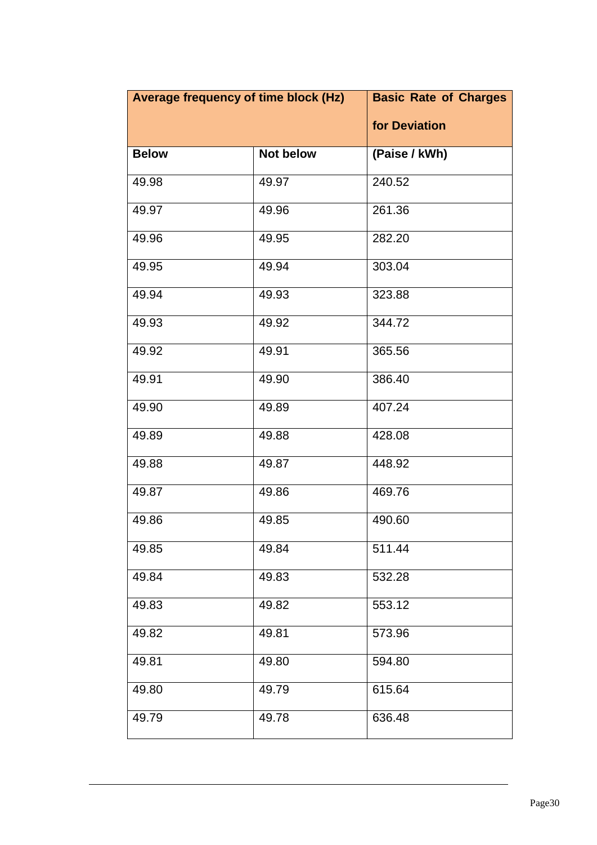| Average frequency of time block (Hz) |                  | <b>Basic Rate of Charges</b> |
|--------------------------------------|------------------|------------------------------|
|                                      |                  | for Deviation                |
| <b>Below</b>                         | <b>Not below</b> | (Paise / kWh)                |
| 49.98                                | 49.97            | 240.52                       |
| 49.97                                | 49.96            | 261.36                       |
| 49.96                                | 49.95            | 282.20                       |
| 49.95                                | 49.94            | 303.04                       |
| 49.94                                | 49.93            | 323.88                       |
| 49.93                                | 49.92            | 344.72                       |
| 49.92                                | 49.91            | 365.56                       |
| 49.91                                | 49.90            | 386.40                       |
| 49.90                                | 49.89            | 407.24                       |
| 49.89                                | 49.88            | 428.08                       |
| 49.88                                | 49.87            | 448.92                       |
| 49.87                                | 49.86            | 469.76                       |
| 49.86                                | 49.85            | 490.60                       |
| 49.85                                | 49.84            | 511.44                       |
| 49.84                                | 49.83            | 532.28                       |
| 49.83                                | 49.82            | 553.12                       |
| 49.82                                | 49.81            | 573.96                       |
| 49.81                                | 49.80            | 594.80                       |
| 49.80                                | 49.79            | 615.64                       |
| 49.79                                | 49.78            | 636.48                       |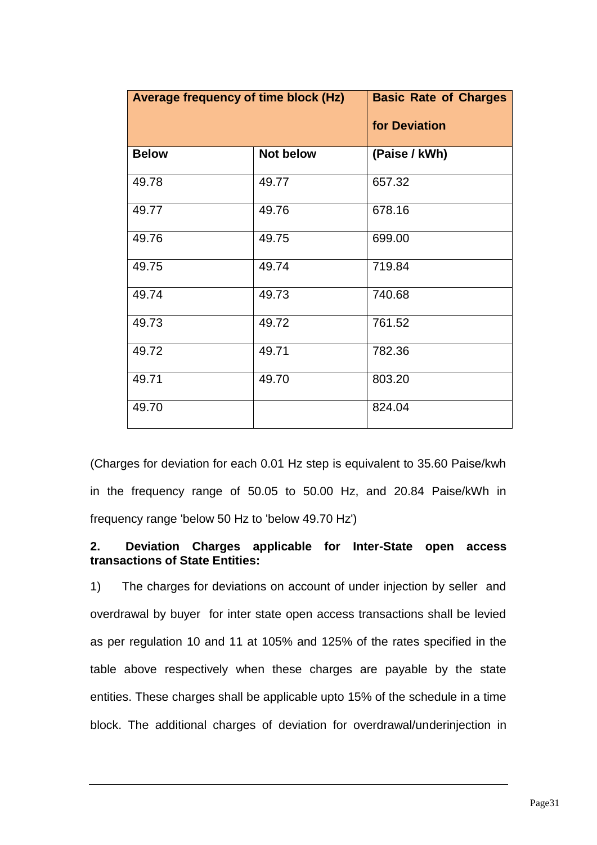| Average frequency of time block (Hz) |                  | <b>Basic Rate of Charges</b> |
|--------------------------------------|------------------|------------------------------|
|                                      |                  | for Deviation                |
| <b>Below</b>                         | <b>Not below</b> | (Paise / kWh)                |
| 49.78                                | 49.77            | 657.32                       |
| 49.77                                | 49.76            | 678.16                       |
| 49.76                                | 49.75            | 699.00                       |
| 49.75                                | 49.74            | 719.84                       |
| 49.74                                | 49.73            | 740.68                       |
| 49.73                                | 49.72            | 761.52                       |
| 49.72                                | 49.71            | 782.36                       |
| 49.71                                | 49.70            | 803.20                       |
| 49.70                                |                  | 824.04                       |

(Charges for deviation for each 0.01 Hz step is equivalent to 35.60 Paise/kwh in the frequency range of 50.05 to 50.00 Hz, and 20.84 Paise/kWh in frequency range 'below 50 Hz to 'below 49.70 Hz')

### **2. Deviation Charges applicable for Inter-State open access transactions of State Entities:**

1) The charges for deviations on account of under injection by seller and overdrawal by buyer for inter state open access transactions shall be levied as per regulation 10 and 11 at 105% and 125% of the rates specified in the table above respectively when these charges are payable by the state entities. These charges shall be applicable upto 15% of the schedule in a time block. The additional charges of deviation for overdrawal/underinjection in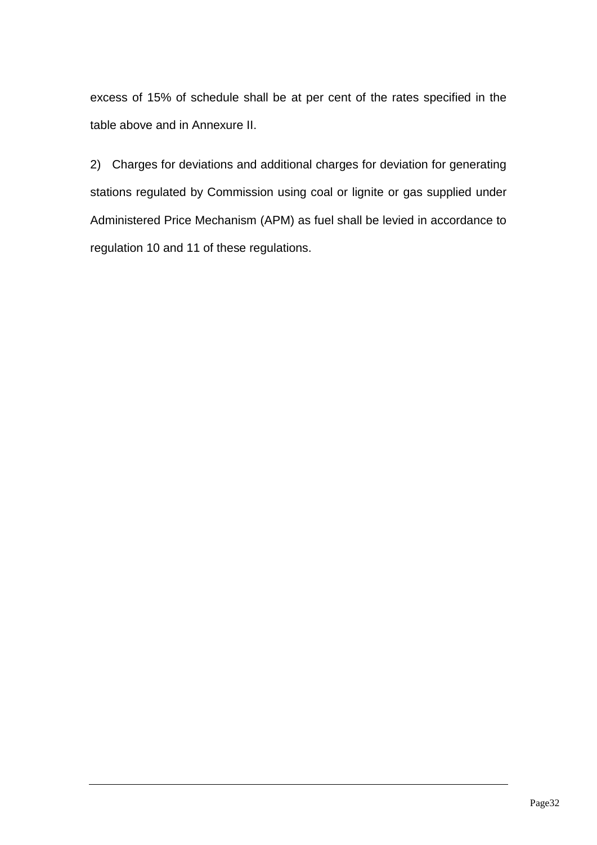excess of 15% of schedule shall be at per cent of the rates specified in the table above and in Annexure II.

2) Charges for deviations and additional charges for deviation for generating stations regulated by Commission using coal or lignite or gas supplied under Administered Price Mechanism (APM) as fuel shall be levied in accordance to regulation 10 and 11 of these regulations.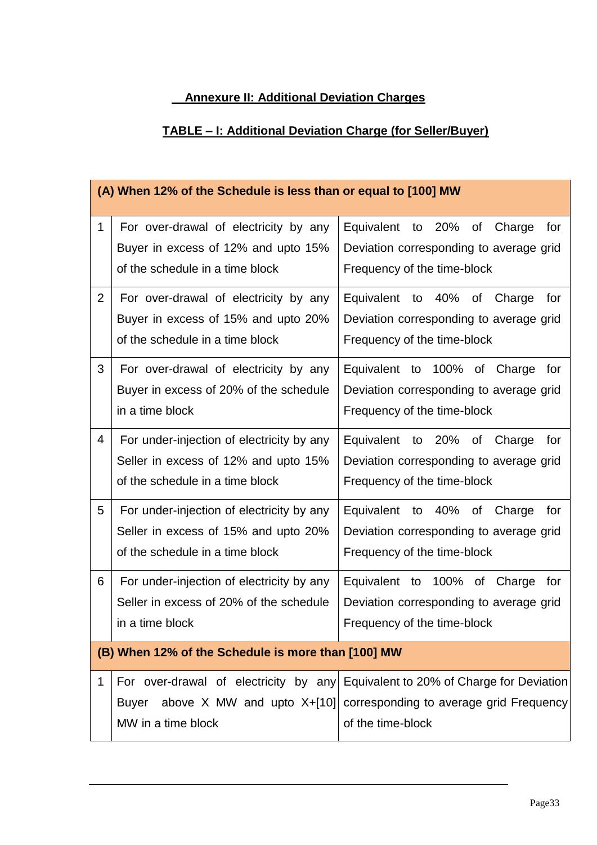# **Annexure II: Additional Deviation Charges**

# **TABLE – I: Additional Deviation Charge (for Seller/Buyer)**

|                | (A) When 12% of the Schedule is less than or equal to [100] MW                                                       |                                                                                                                                                                            |  |
|----------------|----------------------------------------------------------------------------------------------------------------------|----------------------------------------------------------------------------------------------------------------------------------------------------------------------------|--|
| $\mathbf 1$    | For over-drawal of electricity by any<br>Buyer in excess of 12% and upto 15%<br>of the schedule in a time block      | Equivalent to 20%<br>of<br>Charge<br>for<br>Deviation corresponding to average grid<br>Frequency of the time-block                                                         |  |
| $\overline{2}$ | For over-drawal of electricity by any<br>Buyer in excess of 15% and upto 20%<br>of the schedule in a time block      | Equivalent to 40%<br>of<br>Charge<br>for<br>Deviation corresponding to average grid<br>Frequency of the time-block                                                         |  |
| 3              | For over-drawal of electricity by any<br>Buyer in excess of 20% of the schedule<br>in a time block                   | Equivalent to 100% of Charge<br>for<br>Deviation corresponding to average grid<br>Frequency of the time-block                                                              |  |
| 4              | For under-injection of electricity by any<br>Seller in excess of 12% and upto 15%<br>of the schedule in a time block | Equivalent to 20% of Charge<br>for<br>Deviation corresponding to average grid<br>Frequency of the time-block                                                               |  |
| 5              | For under-injection of electricity by any<br>Seller in excess of 15% and upto 20%<br>of the schedule in a time block | Equivalent to 40% of Charge<br>for<br>Deviation corresponding to average grid<br>Frequency of the time-block                                                               |  |
| 6              | For under-injection of electricity by any<br>Seller in excess of 20% of the schedule<br>in a time block              | Equivalent to 100% of Charge<br>for<br>Deviation corresponding to average grid<br>Frequency of the time-block                                                              |  |
|                | (B) When 12% of the Schedule is more than [100] MW                                                                   |                                                                                                                                                                            |  |
| 1              | <b>Buyer</b><br>MW in a time block                                                                                   | For over-drawal of electricity by any Equivalent to 20% of Charge for Deviation<br>above X MW and upto X+[10] corresponding to average grid Frequency<br>of the time-block |  |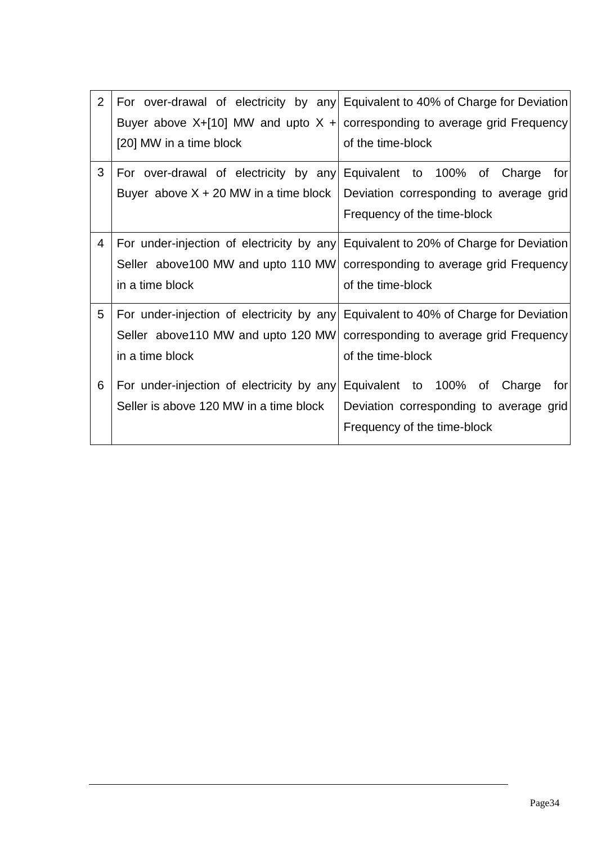| 2 |                                           | For over-drawal of electricity by any Equivalent to 40% of Charge for Deviation     |
|---|-------------------------------------------|-------------------------------------------------------------------------------------|
|   |                                           | Buyer above X+[10] MW and upto X + corresponding to average grid Frequency          |
|   | [20] MW in a time block                   | of the time-block                                                                   |
| 3 | For over-drawal of electricity by any     | Equivalent to 100% of Charge<br>for                                                 |
|   | Buyer above $X + 20$ MW in a time block   | Deviation corresponding to average grid                                             |
|   |                                           | Frequency of the time-block                                                         |
| 4 |                                           | For under-injection of electricity by any Equivalent to 20% of Charge for Deviation |
|   |                                           | Seller above 100 MW and upto 110 MW corresponding to average grid Frequency         |
|   | in a time block                           | of the time-block                                                                   |
| 5 | For under-injection of electricity by any | Equivalent to 40% of Charge for Deviation                                           |
|   | Seller above 110 MW and upto 120 MW       | corresponding to average grid Frequency                                             |
|   | in a time block                           | of the time-block                                                                   |
| 6 | For under-injection of electricity by any | Equivalent to 100%<br>of<br>Charge<br>for                                           |
|   | Seller is above 120 MW in a time block    | Deviation corresponding to average grid                                             |
|   |                                           | Frequency of the time-block                                                         |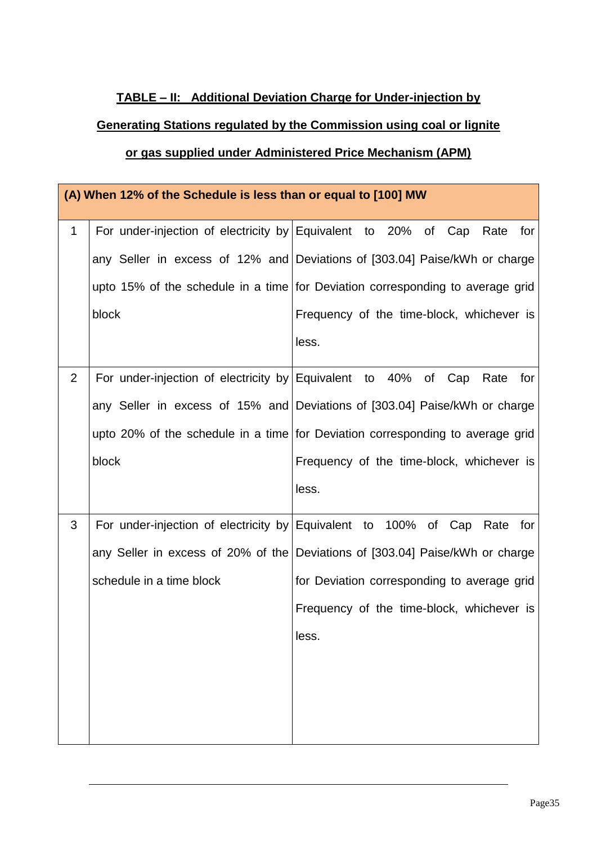## **TABLE – II: Additional Deviation Charge for Under-injection by**

# **Generating Stations regulated by the Commission using coal or lignite**

## **or gas supplied under Administered Price Mechanism (APM)**

|                | (A) When 12% of the Schedule is less than or equal to [100] MW |                                                                                |  |
|----------------|----------------------------------------------------------------|--------------------------------------------------------------------------------|--|
| $\mathbf{1}$   | For under-injection of electricity by Equivalent to 20%        | of Cap<br>Rate<br>for                                                          |  |
|                |                                                                | any Seller in excess of 12% and Deviations of [303.04] Paise/kWh or charge     |  |
|                |                                                                | upto 15% of the schedule in a time for Deviation corresponding to average grid |  |
|                | block                                                          | Frequency of the time-block, whichever is                                      |  |
|                |                                                                | less.                                                                          |  |
| $\overline{2}$ | For under-injection of electricity by Equivalent to 40%        | of Cap<br>Rate<br>for                                                          |  |
|                |                                                                | any Seller in excess of 15% and Deviations of [303.04] Paise/kWh or charge     |  |
|                |                                                                | upto 20% of the schedule in a time for Deviation corresponding to average grid |  |
|                | block                                                          | Frequency of the time-block, whichever is                                      |  |
|                |                                                                | less.                                                                          |  |
| 3              |                                                                | For under-injection of electricity by Equivalent to 100% of Cap Rate<br>for    |  |
|                |                                                                | any Seller in excess of 20% of the Deviations of [303.04] Paise/kWh or charge  |  |
|                | schedule in a time block                                       | for Deviation corresponding to average grid                                    |  |
|                |                                                                | Frequency of the time-block, whichever is                                      |  |
|                |                                                                | less.                                                                          |  |
|                |                                                                |                                                                                |  |
|                |                                                                |                                                                                |  |
|                |                                                                |                                                                                |  |
|                |                                                                |                                                                                |  |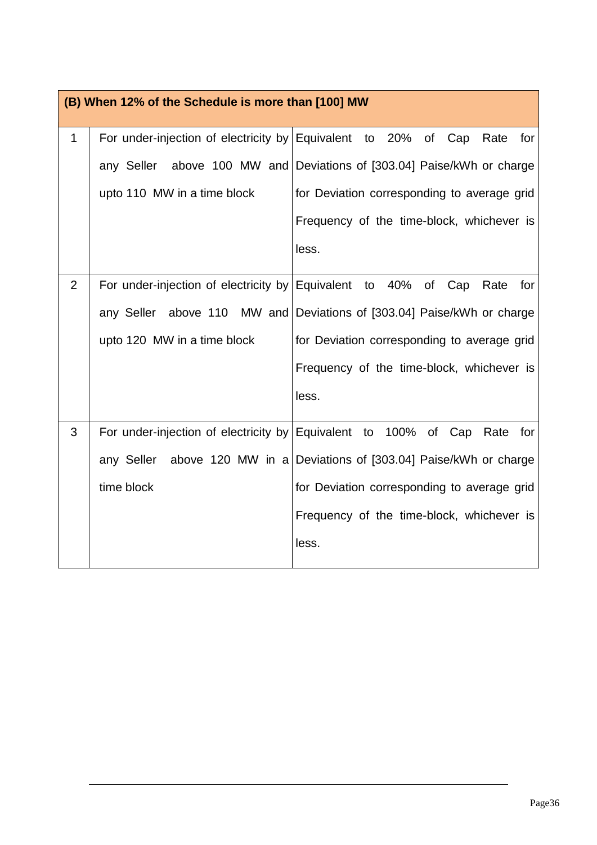|                | (B) When 12% of the Schedule is more than [100] MW      |                                                                             |  |
|----------------|---------------------------------------------------------|-----------------------------------------------------------------------------|--|
| 1              | For under-injection of electricity by Equivalent to 20% | of Cap<br>Rate<br>for                                                       |  |
|                | above 100 MW and<br>any Seller                          | Deviations of [303.04] Paise/kWh or charge                                  |  |
|                | upto 110 MW in a time block                             | for Deviation corresponding to average grid                                 |  |
|                |                                                         | Frequency of the time-block, whichever is                                   |  |
|                |                                                         | less.                                                                       |  |
| $\overline{2}$ | For under-injection of electricity by                   | Equivalent<br>to 40%<br>of<br>Cap<br>Rate<br>for                            |  |
|                | any Seller above 110 MW and                             | Deviations of [303.04] Paise/kWh or charge                                  |  |
|                | upto 120 MW in a time block                             | for Deviation corresponding to average grid                                 |  |
|                |                                                         | Frequency of the time-block, whichever is                                   |  |
|                |                                                         | less.                                                                       |  |
| 3              |                                                         | For under-injection of electricity by Equivalent to 100% of Cap Rate<br>for |  |
|                | any Seller                                              | above 120 MW in a Deviations of [303.04] Paise/kWh or charge                |  |
|                | time block                                              | for Deviation corresponding to average grid                                 |  |
|                |                                                         | Frequency of the time-block, whichever is                                   |  |
|                |                                                         | less.                                                                       |  |
|                |                                                         |                                                                             |  |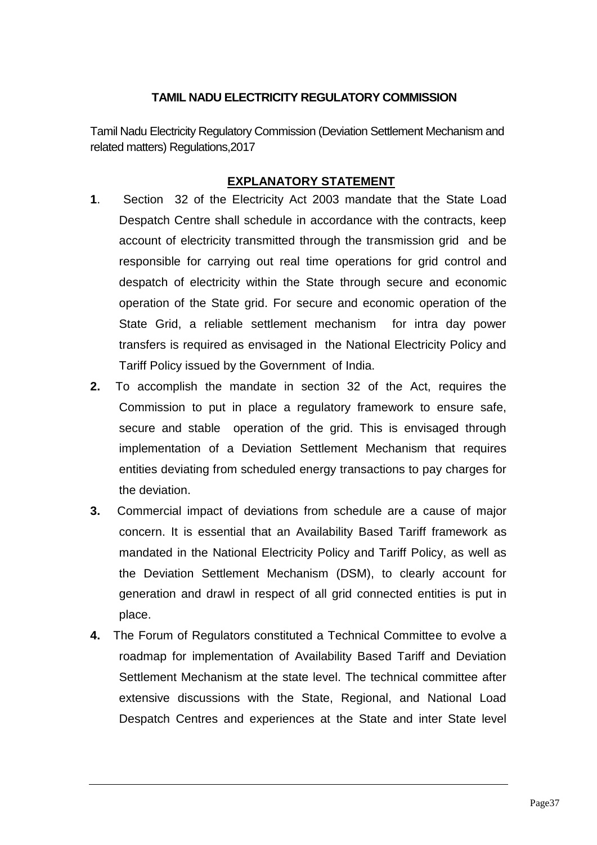## **TAMIL NADU ELECTRICITY REGULATORY COMMISSION**

Tamil Nadu Electricity Regulatory Commission (Deviation Settlement Mechanism and related matters) Regulations,2017

## **EXPLANATORY STATEMENT**

- **1**. Section 32 of the Electricity Act 2003 mandate that the State Load Despatch Centre shall schedule in accordance with the contracts, keep account of electricity transmitted through the transmission grid and be responsible for carrying out real time operations for grid control and despatch of electricity within the State through secure and economic operation of the State grid. For secure and economic operation of the State Grid, a reliable settlement mechanism for intra day power transfers is required as envisaged in the National Electricity Policy and Tariff Policy issued by the Government of India.
- **2.** To accomplish the mandate in section 32 of the Act, requires the Commission to put in place a regulatory framework to ensure safe, secure and stable operation of the grid. This is envisaged through implementation of a Deviation Settlement Mechanism that requires entities deviating from scheduled energy transactions to pay charges for the deviation.
- **3.** Commercial impact of deviations from schedule are a cause of major concern. It is essential that an Availability Based Tariff framework as mandated in the National Electricity Policy and Tariff Policy, as well as the Deviation Settlement Mechanism (DSM), to clearly account for generation and drawl in respect of all grid connected entities is put in place.
- **4.** The Forum of Regulators constituted a Technical Committee to evolve a roadmap for implementation of Availability Based Tariff and Deviation Settlement Mechanism at the state level. The technical committee after extensive discussions with the State, Regional, and National Load Despatch Centres and experiences at the State and inter State level